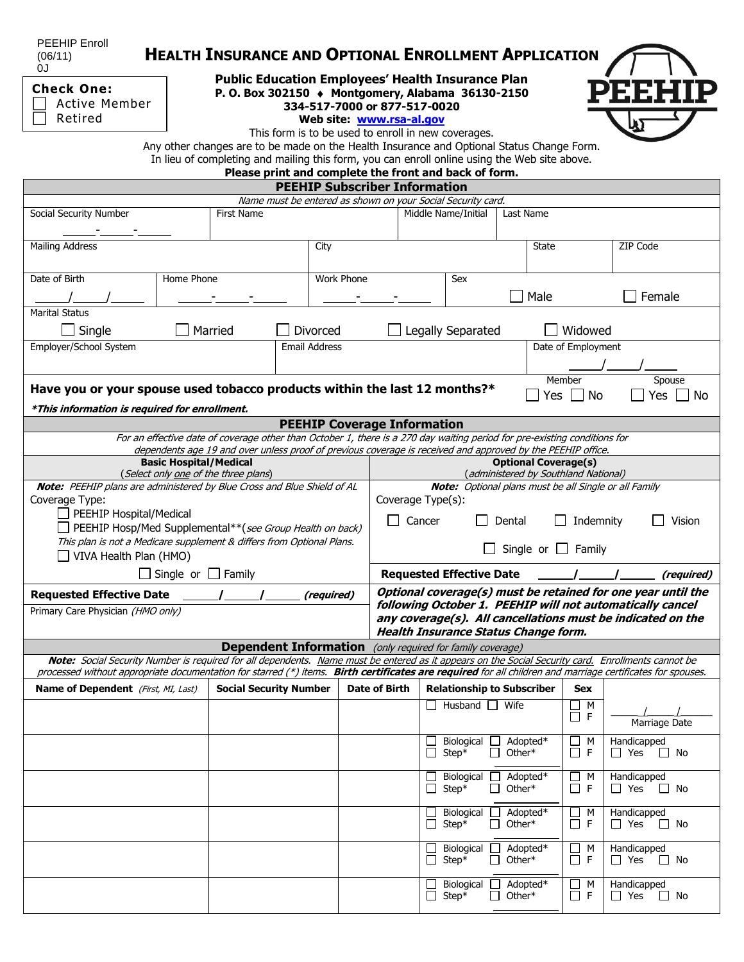| <b>PEEHIP Enroll</b> |
|----------------------|
| (06/11)              |
| OJ.                  |

**Check One:**

Member

 Active Member Retired

## **HEALTH INSURANCE AND OPTIONAL ENROLLMENT APPLICATION**

## **Public Education Employees' Health Insurance Plan P. O. Box 302150 Montgomery, Alabama 36130-2150 334-517-7000 or 877-517-0020**



**Web site: [www.rsa-al.gov](http://www.rsa-al.gov/)**

This form is to be used to enroll in new coverages.

Any other changes are to be made on the Health Insurance and Optional Status Change Form.

In lieu of completing and mailing this form, you can enroll online using the Web site above.

## **Please print and complete the front and back of form.**

| Picase print and complete the front and back of form.<br><b>PEEHIP Subscriber Information</b>                                                                                                                                                                                                                    |                                               |                               |                                    |                                                                     |                                                                                                                           |                                  |                                   |                                    |                                       |                                        |  |  |
|------------------------------------------------------------------------------------------------------------------------------------------------------------------------------------------------------------------------------------------------------------------------------------------------------------------|-----------------------------------------------|-------------------------------|------------------------------------|---------------------------------------------------------------------|---------------------------------------------------------------------------------------------------------------------------|----------------------------------|-----------------------------------|------------------------------------|---------------------------------------|----------------------------------------|--|--|
| Name must be entered as shown on your Social Security card.                                                                                                                                                                                                                                                      |                                               |                               |                                    |                                                                     |                                                                                                                           |                                  |                                   |                                    |                                       |                                        |  |  |
| Social Security Number                                                                                                                                                                                                                                                                                           |                                               | <b>First Name</b>             |                                    |                                                                     |                                                                                                                           | Last Name<br>Middle Name/Initial |                                   |                                    |                                       |                                        |  |  |
|                                                                                                                                                                                                                                                                                                                  |                                               |                               |                                    |                                                                     |                                                                                                                           |                                  |                                   |                                    |                                       |                                        |  |  |
| <b>Mailing Address</b>                                                                                                                                                                                                                                                                                           |                                               |                               |                                    | City                                                                |                                                                                                                           |                                  |                                   |                                    | <b>State</b>                          | ZIP Code                               |  |  |
| Date of Birth<br>Home Phone                                                                                                                                                                                                                                                                                      |                                               |                               |                                    | <b>Work Phone</b>                                                   |                                                                                                                           |                                  | Sex                               |                                    |                                       |                                        |  |  |
|                                                                                                                                                                                                                                                                                                                  |                                               |                               |                                    |                                                                     |                                                                                                                           | Male                             |                                   |                                    |                                       | Female                                 |  |  |
| <b>Marital Status</b>                                                                                                                                                                                                                                                                                            |                                               |                               |                                    |                                                                     |                                                                                                                           |                                  |                                   |                                    |                                       |                                        |  |  |
| Single<br>Married<br>Divorced                                                                                                                                                                                                                                                                                    |                                               |                               |                                    |                                                                     | Widowed<br>Legally Separated                                                                                              |                                  |                                   |                                    |                                       |                                        |  |  |
| Employer/School System<br><b>Email Address</b>                                                                                                                                                                                                                                                                   |                                               |                               |                                    | Date of Employment                                                  |                                                                                                                           |                                  |                                   |                                    |                                       |                                        |  |  |
|                                                                                                                                                                                                                                                                                                                  |                                               |                               |                                    |                                                                     |                                                                                                                           |                                  |                                   |                                    |                                       |                                        |  |  |
| Member<br>Spouse<br>Have you or your spouse used tobacco products within the last 12 months?*<br>No<br>Yes<br>No<br>Yes                                                                                                                                                                                          |                                               |                               |                                    |                                                                     |                                                                                                                           |                                  |                                   |                                    |                                       |                                        |  |  |
|                                                                                                                                                                                                                                                                                                                  | *This information is required for enrollment. |                               |                                    |                                                                     |                                                                                                                           |                                  |                                   |                                    |                                       |                                        |  |  |
|                                                                                                                                                                                                                                                                                                                  |                                               |                               | <b>PEEHIP Coverage Information</b> |                                                                     |                                                                                                                           |                                  |                                   |                                    |                                       |                                        |  |  |
| For an effective date of coverage other than October 1, there is a 270 day waiting period for pre-existing conditions for<br>dependents age 19 and over unless proof of previous coverage is received and approved by the PEEHIP office.                                                                         |                                               |                               |                                    |                                                                     |                                                                                                                           |                                  |                                   |                                    |                                       |                                        |  |  |
| <b>Basic Hospital/Medical</b><br>(Select only one of the three plans)                                                                                                                                                                                                                                            |                                               |                               |                                    | <b>Optional Coverage(s)</b><br>(administered by Southland National) |                                                                                                                           |                                  |                                   |                                    |                                       |                                        |  |  |
| Note: PEEHIP plans are administered by Blue Cross and Blue Shield of AL                                                                                                                                                                                                                                          |                                               |                               |                                    | <b>Note:</b> Optional plans must be all Single or all Family        |                                                                                                                           |                                  |                                   |                                    |                                       |                                        |  |  |
| Coverage Type:                                                                                                                                                                                                                                                                                                   |                                               |                               |                                    | Coverage Type(s):                                                   |                                                                                                                           |                                  |                                   |                                    |                                       |                                        |  |  |
| PEEHIP Hospital/Medical                                                                                                                                                                                                                                                                                          |                                               |                               |                                    |                                                                     | $\mathsf{L}$<br>Cancer<br>Indemnity<br>Dental<br>Vision                                                                   |                                  |                                   |                                    |                                       |                                        |  |  |
| PEEHIP Hosp/Med Supplemental**(see Group Health on back)<br>This plan is not a Medicare supplement & differs from Optional Plans.                                                                                                                                                                                |                                               |                               |                                    |                                                                     | Single or $\Box$ Family                                                                                                   |                                  |                                   |                                    |                                       |                                        |  |  |
| VIVA Health Plan (HMO)                                                                                                                                                                                                                                                                                           |                                               |                               |                                    |                                                                     |                                                                                                                           |                                  |                                   |                                    |                                       |                                        |  |  |
| $\Box$ Single or $\Box$ Family                                                                                                                                                                                                                                                                                   |                                               |                               |                                    |                                                                     | <b>Requested Effective Date</b><br>(required)                                                                             |                                  |                                   |                                    |                                       |                                        |  |  |
| <b>Requested Effective Date</b><br>(required)                                                                                                                                                                                                                                                                    |                                               |                               |                                    |                                                                     | Optional coverage(s) must be retained for one year until the<br>following October 1. PEEHIP will not automatically cancel |                                  |                                   |                                    |                                       |                                        |  |  |
| Primary Care Physician (HMO only)<br>any coverage(s). All cancellations must be indicated on the<br><b>Health Insurance Status Change form.</b>                                                                                                                                                                  |                                               |                               |                                    |                                                                     |                                                                                                                           |                                  |                                   |                                    |                                       |                                        |  |  |
| <b>Dependent Information</b> (only required for family coverage)                                                                                                                                                                                                                                                 |                                               |                               |                                    |                                                                     |                                                                                                                           |                                  |                                   |                                    |                                       |                                        |  |  |
| Note: Social Security Number is required for all dependents. Name must be entered as it appears on the Social Security card. Enrollments cannot be<br>processed without appropriate documentation for starred (*) items. Birth certificates are required for all children and marriage certificates for spouses. |                                               |                               |                                    |                                                                     |                                                                                                                           |                                  |                                   |                                    |                                       |                                        |  |  |
| <b>Name of Dependent</b> (First, MI, Last)                                                                                                                                                                                                                                                                       |                                               | <b>Social Security Number</b> |                                    |                                                                     | <b>Date of Birth</b>                                                                                                      |                                  | <b>Relationship to Subscriber</b> |                                    | <b>Sex</b>                            |                                        |  |  |
|                                                                                                                                                                                                                                                                                                                  |                                               |                               |                                    |                                                                     |                                                                                                                           |                                  | Husband $\Box$ Wife               |                                    | М<br>LΙ                               |                                        |  |  |
|                                                                                                                                                                                                                                                                                                                  |                                               |                               |                                    |                                                                     |                                                                                                                           |                                  |                                   |                                    | $\Box$<br>$\mathsf{F}$                | Marriage Date                          |  |  |
|                                                                                                                                                                                                                                                                                                                  |                                               |                               |                                    |                                                                     |                                                                                                                           |                                  | Biological $\square$              | Adopted*                           | $\Box$ M                              | Handicapped                            |  |  |
|                                                                                                                                                                                                                                                                                                                  |                                               |                               |                                    |                                                                     |                                                                                                                           | □                                | $Step*$                           | Other*<br>$\Box$                   | $\Box$ F                              | $\Box$ Yes<br>$\Box$ No                |  |  |
|                                                                                                                                                                                                                                                                                                                  |                                               |                               |                                    |                                                                     |                                                                                                                           | $\Box$                           | Biological<br>Step*               | Adopted*<br>Other*<br>$\mathsf{L}$ | $\Box$ M<br>$\Box$ F                  | Handicapped<br>$\Box$ No<br>$\Box$ Yes |  |  |
|                                                                                                                                                                                                                                                                                                                  |                                               |                               |                                    |                                                                     |                                                                                                                           |                                  | Biological                        | Adopted*                           | $\Box$<br>M                           | Handicapped                            |  |  |
|                                                                                                                                                                                                                                                                                                                  |                                               |                               |                                    |                                                                     |                                                                                                                           | $\Box$                           | Step*                             | Other*<br>$\Box$                   | $\Box$ F                              | $\Box$ Yes<br>$\Box$ No                |  |  |
|                                                                                                                                                                                                                                                                                                                  |                                               |                               |                                    |                                                                     |                                                                                                                           | $\overline{\phantom{a}}$         | Biological<br>Step*               | Adopted*<br>Other*                 | $\Box$<br>M<br>$\mathsf{F}$<br>$\Box$ | Handicapped<br>$\Box$ Yes<br>$\Box$ No |  |  |
|                                                                                                                                                                                                                                                                                                                  |                                               |                               |                                    |                                                                     |                                                                                                                           |                                  | Biological<br>Step*               | Adopted*<br>Other*                 | $\Box$<br>M<br>$\Box$<br>F            | Handicapped<br>$\Box$ Yes<br>$\Box$ No |  |  |